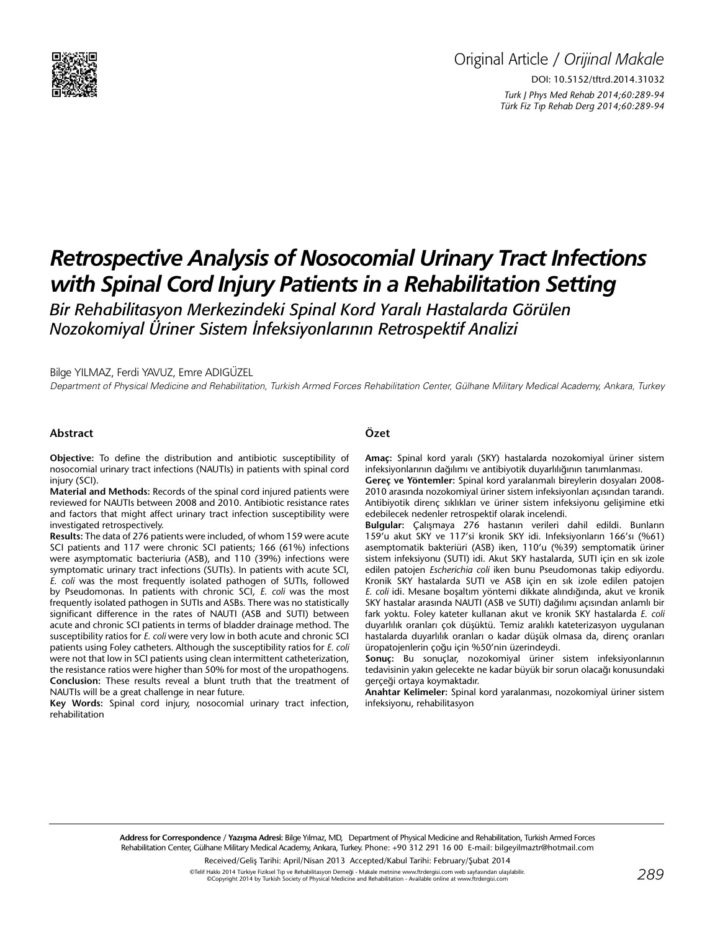

# *Retrospective Analysis of Nosocomial Urinary Tract Infections with Spinal Cord Injury Patients in a Rehabilitation Setting*

*Bir Rehabilitasyon Merkezindeki Spinal Kord Yaralı Hastalarda Görülen Nozokomiyal Üriner Sistem İnfeksiyonlarının Retrospektif Analizi*

Bilge YILMAZ, Ferdi YAVUZ, Emre ADIGÜZEL

Department of Physical Medicine and Rehabilitation, Turkish Armed Forces Rehabilitation Center, Gülhane Military Medical Academy, Ankara, Turkey

#### **Abstract**

**Objective:** To define the distribution and antibiotic susceptibility of nosocomial urinary tract infections (NAUTIs) in patients with spinal cord iniury (SCI).

**Material and Methods:** Records of the spinal cord injured patients were reviewed for NAUTIs between 2008 and 2010. Antibiotic resistance rates and factors that might affect urinary tract infection susceptibility were investigated retrospectively.

**Results:** The data of 276 patients were included, of whom 159 were acute SCI patients and 117 were chronic SCI patients; 166 (61%) infections were asymptomatic bacteriuria (ASB), and 110 (39%) infections were symptomatic urinary tract infections (SUTIs). In patients with acute SCI, *E. coli* was the most frequently isolated pathogen of SUTIs, followed by Pseudomonas. In patients with chronic SCI, *E. coli* was the most frequently isolated pathogen in SUTIs and ASBs. There was no statistically significant difference in the rates of NAUTI (ASB and SUTI) between acute and chronic SCI patients in terms of bladder drainage method. The susceptibility ratios for *E. coli* were very low in both acute and chronic SCI patients using Foley catheters. Although the susceptibility ratios for *E. coli* were not that low in SCI patients using clean intermittent catheterization, the resistance ratios were higher than 50% for most of the uropathogens. **Conclusion:** These results reveal a blunt truth that the treatment of NAUTIs will be a great challenge in near future.

**Key Words:** Spinal cord injury, nosocomial urinary tract infection, rehabilitation

## **Özet**

**Amaç:** Spinal kord yaralı (SKY) hastalarda nozokomiyal üriner sistem infeksiyonlarının dağılımı ve antibiyotik duyarlılığının tanımlanması.

**Gereç ve Yöntemler:** Spinal kord yaralanmalı bireylerin dosyaları 2008- 2010 arasında nozokomiyal üriner sistem infeksiyonları açısından tarandı. Antibiyotik direnç sıklıkları ve üriner sistem infeksiyonu gelişimine etki edebilecek nedenler retrospektif olarak incelendi.

**Bulgular:** Çalışmaya 276 hastanın verileri dahil edildi. Bunların 159'u akut SKY ve 117'si kronik SKY idi. Infeksiyonların 166'sı (%61) asemptomatik bakteriüri (ASB) iken, 110'u (%39) semptomatik üriner sistem infeksiyonu (SUTI) idi. Akut SKY hastalarda, SUTI için en sık izole edilen patojen *Escherichia coli* iken bunu Pseudomonas takip ediyordu. Kronik SKY hastalarda SUTI ve ASB için en sık izole edilen patojen *E. coli* idi. Mesane boşaltım yöntemi dikkate alındığında, akut ve kronik SKY hastalar arasında NAUTI (ASB ve SUTI) dağılımı açısından anlamlı bir fark yoktu. Foley kateter kullanan akut ve kronik SKY hastalarda *E. coli* duyarlılık oranları çok düşüktü. Temiz aralıklı kateterizasyon uygulanan hastalarda duyarlılık oranları o kadar düşük olmasa da, direnç oranları üropatojenlerin çoğu için %50'nin üzerindeydi.

**Sonuç:** Bu sonuçlar, nozokomiyal üriner sistem infeksiyonlarının tedavisinin yakın gelecekte ne kadar büyük bir sorun olacağı konusundaki gerçeği ortaya koymaktadır.

**Anahtar Kelimeler:** Spinal kord yaralanması, nozokomiyal üriner sistem infeksiyonu, rehabilitasyon

**Address for Correspondence / Yazışma Adresi:** Bilge Yılmaz, MD, Department of Physical Medicine and Rehabilitation, Turkish Armed Forces Rehabilitation Center, Gülhane Military Medical Academy, Ankara, Turkey. Phone: +90 312 291 16 00 E-mail: bilgeyilmaztr@hotmail.com

Received/Geliş Tarihi: April/Nisan 2013 Accepted/Kabul Tarihi: February/Şubat 2014

©Telif Hakkı 2014 Türkiye Fiziksel Tıp ve Rehabilitasyon Derneği - Makale metnine www.ftrdergisi.com web sayfasından ulaşılabilir. ©Copyright 2014 by Turkish Society of Physical Medicine and Rehabilitation - Available online at www.ftrdergisi.com *289*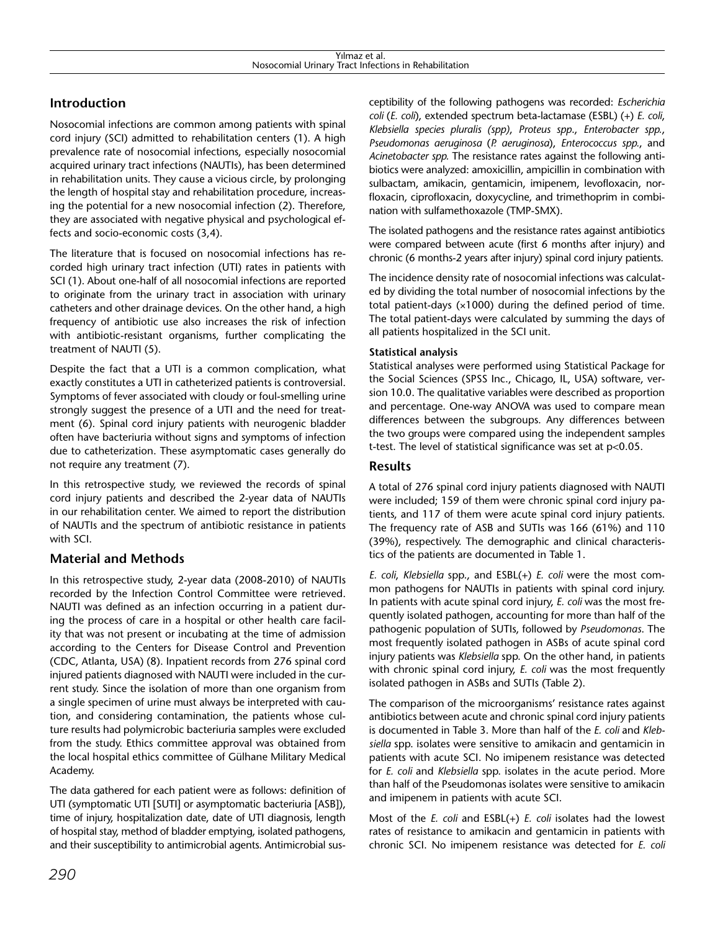# **Introduction**

Nosocomial infections are common among patients with spinal cord injury (SCI) admitted to rehabilitation centers (1). A high prevalence rate of nosocomial infections, especially nosocomial acquired urinary tract infections (NAUTIs), has been determined in rehabilitation units. They cause a vicious circle, by prolonging the length of hospital stay and rehabilitation procedure, increasing the potential for a new nosocomial infection (2). Therefore, they are associated with negative physical and psychological effects and socio-economic costs (3,4).

The literature that is focused on nosocomial infections has recorded high urinary tract infection (UTI) rates in patients with SCI (1). About one-half of all nosocomial infections are reported to originate from the urinary tract in association with urinary catheters and other drainage devices. On the other hand, a high frequency of antibiotic use also increases the risk of infection with antibiotic-resistant organisms, further complicating the treatment of NAUTI (5).

Despite the fact that a UTI is a common complication, what exactly constitutes a UTI in catheterized patients is controversial. Symptoms of fever associated with cloudy or foul-smelling urine strongly suggest the presence of a UTI and the need for treatment (6). Spinal cord injury patients with neurogenic bladder often have bacteriuria without signs and symptoms of infection due to catheterization. These asymptomatic cases generally do not require any treatment (7).

In this retrospective study, we reviewed the records of spinal cord injury patients and described the 2-year data of NAUTIs in our rehabilitation center. We aimed to report the distribution of NAUTIs and the spectrum of antibiotic resistance in patients with SCI.

# **Material and Methods**

In this retrospective study, 2-year data (2008-2010) of NAUTIs recorded by the Infection Control Committee were retrieved. NAUTI was defined as an infection occurring in a patient during the process of care in a hospital or other health care facility that was not present or incubating at the time of admission according to the Centers for Disease Control and Prevention (CDC, Atlanta, USA) (8). Inpatient records from 276 spinal cord injured patients diagnosed with NAUTI were included in the current study. Since the isolation of more than one organism from a single specimen of urine must always be interpreted with caution, and considering contamination, the patients whose culture results had polymicrobic bacteriuria samples were excluded from the study. Ethics committee approval was obtained from the local hospital ethics committee of Gülhane Military Medical Academy.

The data gathered for each patient were as follows: definition of UTI (symptomatic UTI [SUTI] or asymptomatic bacteriuria [ASB]), time of injury, hospitalization date, date of UTI diagnosis, length of hospital stay, method of bladder emptying, isolated pathogens, and their susceptibility to antimicrobial agents. Antimicrobial susceptibility of the following pathogens was recorded: *Escherichia coli* (*E. coli*), extended spectrum beta-lactamase (ESBL) (+) *E. coli*, *Klebsiella species pluralis (spp)*, *Proteus spp*., *Enterobacter spp.*, *Pseudomonas aeruginosa* (*P. aeruginosa*), *Enterococcus spp.*, and *Acinetobacter spp.* The resistance rates against the following antibiotics were analyzed: amoxicillin, ampicillin in combination with sulbactam, amikacin, gentamicin, imipenem, levofloxacin, norfloxacin, ciprofloxacin, doxycycline, and trimethoprim in combination with sulfamethoxazole (TMP-SMX).

The isolated pathogens and the resistance rates against antibiotics were compared between acute (first 6 months after injury) and chronic (6 months-2 years after injury) spinal cord injury patients.

The incidence density rate of nosocomial infections was calculated by dividing the total number of nosocomial infections by the total patient-days  $(x1000)$  during the defined period of time. The total patient-days were calculated by summing the days of all patients hospitalized in the SCI unit.

## **Statistical analysis**

Statistical analyses were performed using Statistical Package for the Social Sciences (SPSS Inc., Chicago, IL, USA) software, version 10.0. The qualitative variables were described as proportion and percentage. One-way ANOVA was used to compare mean differences between the subgroups. Any differences between the two groups were compared using the independent samples t-test. The level of statistical significance was set at p<0.05.

## **Results**

A total of 276 spinal cord injury patients diagnosed with NAUTI were included; 159 of them were chronic spinal cord injury patients, and 117 of them were acute spinal cord injury patients. The frequency rate of ASB and SUTIs was 166 (61%) and 110 (39%), respectively. The demographic and clinical characteristics of the patients are documented in Table 1.

*E. coli*, *Klebsiella* spp., and ESBL(+) *E. coli* were the most common pathogens for NAUTIs in patients with spinal cord injury. In patients with acute spinal cord injury, *E. coli* was the most frequently isolated pathogen, accounting for more than half of the pathogenic population of SUTIs, followed by *Pseudomonas*. The most frequently isolated pathogen in ASBs of acute spinal cord injury patients was *Klebsiella* spp. On the other hand, in patients with chronic spinal cord injury, *E. coli* was the most frequently isolated pathogen in ASBs and SUTIs (Table 2).

The comparison of the microorganisms' resistance rates against antibiotics between acute and chronic spinal cord injury patients is documented in Table 3. More than half of the *E. coli* and *Klebsiella* spp. isolates were sensitive to amikacin and gentamicin in patients with acute SCI. No imipenem resistance was detected for *E. coli* and *Klebsiella* spp. isolates in the acute period. More than half of the Pseudomonas isolates were sensitive to amikacin and imipenem in patients with acute SCI.

Most of the *E. coli* and ESBL(+) *E. coli* isolates had the lowest rates of resistance to amikacin and gentamicin in patients with chronic SCI. No imipenem resistance was detected for *E. coli*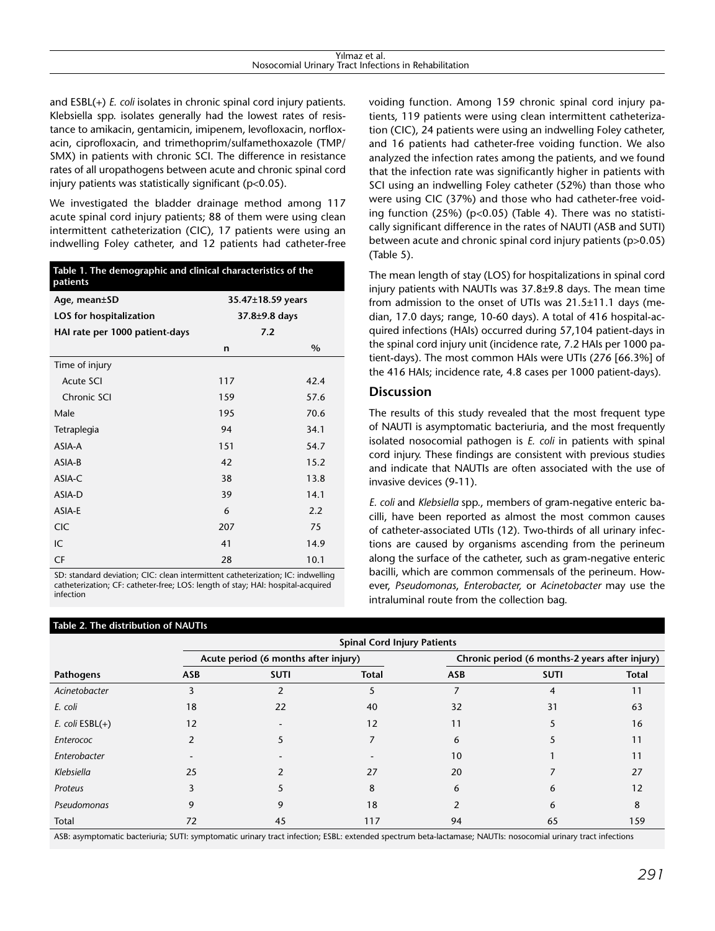| Yılmaz et al. |                                                       |  |  |  |
|---------------|-------------------------------------------------------|--|--|--|
|               | Nosocomial Urinary Tract Infections in Rehabilitation |  |  |  |

and ESBL(+) *E. coli* isolates in chronic spinal cord injury patients. Klebsiella spp. isolates generally had the lowest rates of resistance to amikacin, gentamicin, imipenem, levofloxacin, norfloxacin, ciprofloxacin, and trimethoprim/sulfamethoxazole (TMP/ SMX) in patients with chronic SCI. The difference in resistance rates of all uropathogens between acute and chronic spinal cord injury patients was statistically significant (p<0.05).

We investigated the bladder drainage method among 117 acute spinal cord injury patients; 88 of them were using clean intermittent catheterization (CIC), 17 patients were using an indwelling Foley catheter, and 12 patients had catheter-free

| Table 1. The demographic and clinical characteristics of the<br>patients |                   |      |  |
|--------------------------------------------------------------------------|-------------------|------|--|
| Age, mean±SD                                                             | 35.47±18.59 years |      |  |
| LOS for hospitalization                                                  | $37.8 + 9.8$ days |      |  |
| HAI rate per 1000 patient-days                                           | 7.2               |      |  |
|                                                                          | n                 | $\%$ |  |
| Time of injury                                                           |                   |      |  |
| Acute SCI                                                                | 117               | 42.4 |  |
| Chronic SCI                                                              | 159               | 57.6 |  |
| Male                                                                     | 195               | 70.6 |  |
| Tetraplegia                                                              | 94                | 34.1 |  |
| ASIA-A                                                                   | 151               | 54.7 |  |
| ASIA-B                                                                   | 42                | 15.2 |  |
| ASIA-C                                                                   | 38                | 13.8 |  |
| ASIA-D                                                                   | 39                | 14.1 |  |
| ASIA-E                                                                   | 6                 | 2.2  |  |
| <b>CIC</b>                                                               | 207               | 75   |  |
| IC                                                                       | 41                | 14.9 |  |
| CF                                                                       | 28                | 10.1 |  |

SD: standard deviation; CIC: clean intermittent catheterization; IC: indwelling catheterization; CF: catheter-free; LOS: length of stay; HAI: hospital-acquired infection

#### **Table 2. The distribution of NAUTIs**

voiding function. Among 159 chronic spinal cord injury patients, 119 patients were using clean intermittent catheterization (CIC), 24 patients were using an indwelling Foley catheter, and 16 patients had catheter-free voiding function. We also analyzed the infection rates among the patients, and we found that the infection rate was significantly higher in patients with SCI using an indwelling Foley catheter (52%) than those who were using CIC (37%) and those who had catheter-free voiding function (25%) (p<0.05) (Table 4). There was no statistically significant difference in the rates of NAUTI (ASB and SUTI) between acute and chronic spinal cord injury patients (p>0.05) (Table 5).

The mean length of stay (LOS) for hospitalizations in spinal cord injury patients with NAUTIs was 37.8±9.8 days. The mean time from admission to the onset of UTIs was 21.5±11.1 days (median, 17.0 days; range, 10-60 days). A total of 416 hospital-acquired infections (HAIs) occurred during 57,104 patient-days in the spinal cord injury unit (incidence rate, 7.2 HAIs per 1000 patient-days). The most common HAIs were UTIs (276 [66.3%] of the 416 HAIs; incidence rate, 4.8 cases per 1000 patient-days).

## **Discussion**

The results of this study revealed that the most frequent type of NAUTI is asymptomatic bacteriuria, and the most frequently isolated nosocomial pathogen is *E. coli* in patients with spinal cord injury. These findings are consistent with previous studies and indicate that NAUTIs are often associated with the use of invasive devices (9-11).

*E. coli* and *Klebsiella* spp., members of gram-negative enteric bacilli, have been reported as almost the most common causes of catheter-associated UTIs (12). Two-thirds of all urinary infections are caused by organisms ascending from the perineum along the surface of the catheter, such as gram-negative enteric bacilli, which are common commensals of the perineum. However, *Pseudomonas*, *Enterobacter,* or *Acinetobacter* may use the intraluminal route from the collection bag.

|                   | <b>Spinal Cord Injury Patients</b>   |             |              |            |                                                |              |  |
|-------------------|--------------------------------------|-------------|--------------|------------|------------------------------------------------|--------------|--|
|                   | Acute period (6 months after injury) |             |              |            | Chronic period (6 months-2 years after injury) |              |  |
| Pathogens         | <b>ASB</b>                           | <b>SUTI</b> | <b>Total</b> | <b>ASB</b> | <b>SUTI</b>                                    | <b>Total</b> |  |
| Acinetobacter     |                                      |             |              |            | 4                                              | 11           |  |
| E. coli           | 18                                   | 22          | 40           | 32         | 31                                             | 63           |  |
| E. coli $ESBL(+)$ | 12                                   |             | 12           | 11         |                                                | 16           |  |
| Enterococ         |                                      |             |              | 6          |                                                | 11           |  |
| Enterobacter      |                                      |             |              | 10         |                                                | 11           |  |
| Klebsiella        | 25                                   |             | 27           | 20         |                                                | 27           |  |
| Proteus           |                                      |             | 8            | 6          | 6                                              | 12           |  |
| Pseudomonas       | 9                                    | g           | 18           |            | 6                                              | 8            |  |
| Total             | 72                                   | 45          | 117          | 94         | 65                                             | 159          |  |

ASB: asymptomatic bacteriuria; SUTI: symptomatic urinary tract infection; ESBL: extended spectrum beta-lactamase; NAUTIs: nosocomial urinary tract infections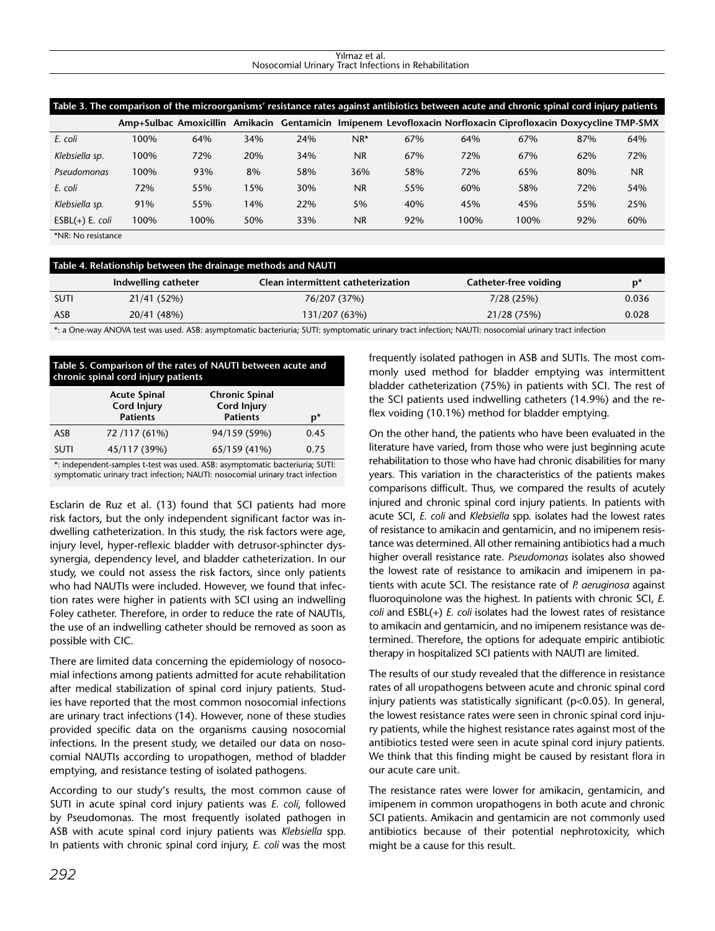#### Yılmaz et al. Nosocomial Urinary Tract Infections in Rehabilitation

| Table 3. The comparison of the microorganisms' resistance rates against antibiotics between acute and chronic spinal cord injury patients |      |      |     |     |           |     |      |                                                                                                                |     |           |
|-------------------------------------------------------------------------------------------------------------------------------------------|------|------|-----|-----|-----------|-----|------|----------------------------------------------------------------------------------------------------------------|-----|-----------|
|                                                                                                                                           |      |      |     |     |           |     |      | Amp+Sulbac Amoxicillin Amikacin Gentamicin Imipenem Levofloxacin Norfloxacin Ciprofloxacin Doxycycline TMP-SMX |     |           |
| E. coli                                                                                                                                   | 100% | 64%  | 34% | 24% | $NR^*$    | 67% | 64%  | 67%                                                                                                            | 87% | 64%       |
| Klebsiella sp.                                                                                                                            | 100% | 72%  | 20% | 34% | <b>NR</b> | 67% | 72%  | 67%                                                                                                            | 62% | 72%       |
| Pseudomonas                                                                                                                               | 100% | 93%  | 8%  | 58% | 36%       | 58% | 72%  | 65%                                                                                                            | 80% | <b>NR</b> |
| E. coli                                                                                                                                   | 72%  | 55%  | 15% | 30% | <b>NR</b> | 55% | 60%  | 58%                                                                                                            | 72% | 54%       |
| Klebsiella sp.                                                                                                                            | 91%  | 55%  | 14% | 22% | 5%        | 40% | 45%  | 45%                                                                                                            | 55% | 25%       |
| $ESBL(+) E. coli$                                                                                                                         | 100% | 100% | 50% | 33% | <b>NR</b> | 92% | 100% | 100%                                                                                                           | 92% | 60%       |
| $*NID.$ No recistance                                                                                                                     |      |      |     |     |           |     |      |                                                                                                                |     |           |

| *NR: No resistance |  |
|--------------------|--|
|--------------------|--|

| Table 4. Relationship between the drainage methods and NAUTI |                     |                                    |                       |                |  |
|--------------------------------------------------------------|---------------------|------------------------------------|-----------------------|----------------|--|
|                                                              | Indwelling catheter | Clean intermittent catheterization | Catheter-free voiding | $\mathbf{p}^*$ |  |
| <b>SUTI</b>                                                  | 21/41 (52%)         | 76/207 (37%)                       | 7/28(25%)             | 0.036          |  |
| ASB                                                          | 20/41 (48%)         | 131/207 (63%)                      | 21/28 (75%)           | 0.028          |  |
|                                                              |                     |                                    | .                     |                |  |

\*: a One-way ANOVA test was used. ASB: asymptomatic bacteriuria; SUTI: symptomatic urinary tract infection; NAUTI: nosocomial urinary tract infection

#### **Table 5. Comparison of the rates of NAUTI between acute and chronic spinal cord injury patients**

|                                                                                                                                       | <b>Acute Spinal</b><br><b>Cord Injury</b><br><b>Patients</b> | <b>Chronic Spinal</b><br><b>Cord Injury</b><br><b>Patients</b> | p*   |  |
|---------------------------------------------------------------------------------------------------------------------------------------|--------------------------------------------------------------|----------------------------------------------------------------|------|--|
| ASB                                                                                                                                   | 72 /117 (61%)                                                | 94/159 (59%)                                                   | 0.45 |  |
| <b>SUTI</b>                                                                                                                           | 45/117 (39%)                                                 | 65/159 (41%)                                                   | 0.75 |  |
| $\bullet$ the decree density concerted in a contract the concert of $\bullet$ CD increases a concerted by capacity of $\bullet$ CHTH. |                                                              |                                                                |      |  |

: independent-samples t-test was used. ASB: asymptomatic bacteriuria; SUTI: symptomatic urinary tract infection; NAUTI: nosocomial urinary tract infection

Esclarin de Ruz et al. (13) found that SCI patients had more risk factors, but the only independent significant factor was indwelling catheterization. In this study, the risk factors were age, injury level, hyper-reflexic bladder with detrusor-sphincter dyssynergia, dependency level, and bladder catheterization. In our study, we could not assess the risk factors, since only patients who had NAUTIs were included. However, we found that infection rates were higher in patients with SCI using an indwelling Foley catheter. Therefore, in order to reduce the rate of NAUTIs, the use of an indwelling catheter should be removed as soon as possible with CIC.

There are limited data concerning the epidemiology of nosocomial infections among patients admitted for acute rehabilitation after medical stabilization of spinal cord injury patients. Studies have reported that the most common nosocomial infections are urinary tract infections (14). However, none of these studies provided specific data on the organisms causing nosocomial infections. In the present study, we detailed our data on nosocomial NAUTIs according to uropathogen, method of bladder emptying, and resistance testing of isolated pathogens.

According to our study's results, the most common cause of SUTI in acute spinal cord injury patients was *E. coli*, followed by Pseudomonas. The most frequently isolated pathogen in ASB with acute spinal cord injury patients was *Klebsiella* spp. In patients with chronic spinal cord injury, *E. coli* was the most frequently isolated pathogen in ASB and SUTIs. The most commonly used method for bladder emptying was intermittent bladder catheterization (75%) in patients with SCI. The rest of the SCI patients used indwelling catheters (14.9%) and the reflex voiding (10.1%) method for bladder emptying.

On the other hand, the patients who have been evaluated in the literature have varied, from those who were just beginning acute rehabilitation to those who have had chronic disabilities for many years. This variation in the characteristics of the patients makes comparisons difficult. Thus, we compared the results of acutely injured and chronic spinal cord injury patients. In patients with acute SCI, *E. coli* and *Klebsiella* spp. isolates had the lowest rates of resistance to amikacin and gentamicin, and no imipenem resistance was determined. All other remaining antibiotics had a much higher overall resistance rate. *Pseudomonas* isolates also showed the lowest rate of resistance to amikacin and imipenem in patients with acute SCI. The resistance rate of *P. aeruginosa* against fluoroquinolone was the highest. In patients with chronic SCI, *E. coli* and ESBL(+) *E. coli* isolates had the lowest rates of resistance to amikacin and gentamicin, and no imipenem resistance was determined. Therefore, the options for adequate empiric antibiotic therapy in hospitalized SCI patients with NAUTI are limited.

The results of our study revealed that the difference in resistance rates of all uropathogens between acute and chronic spinal cord injury patients was statistically significant (p<0.05). In general, the lowest resistance rates were seen in chronic spinal cord injury patients, while the highest resistance rates against most of the antibiotics tested were seen in acute spinal cord injury patients. We think that this finding might be caused by resistant flora in our acute care unit.

The resistance rates were lower for amikacin, gentamicin, and imipenem in common uropathogens in both acute and chronic SCI patients. Amikacin and gentamicin are not commonly used antibiotics because of their potential nephrotoxicity, which might be a cause for this result.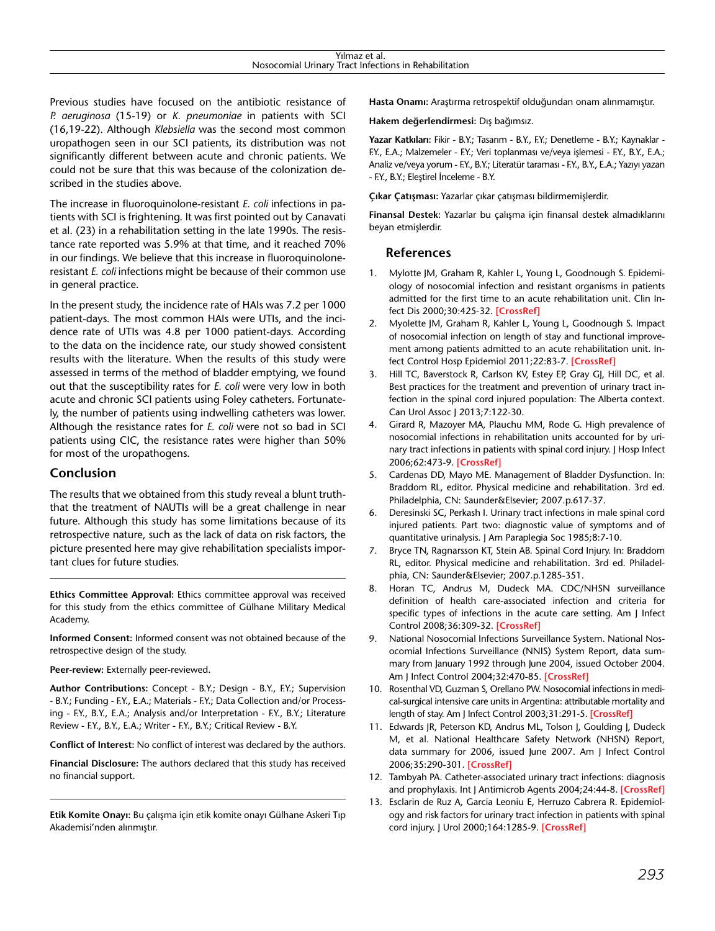| rilmaz<br>∵et aī.                                                                           |  |
|---------------------------------------------------------------------------------------------|--|
| $\cdots$<br>Urinary<br>t Infections.<br>· Rehabilitatior.<br>Tract<br>ın<br>osocomial<br>\l |  |
|                                                                                             |  |

Previous studies have focused on the antibiotic resistance of *P. aeruginosa* (15-19) or *K. pneumoniae* in patients with SCI (16,19-22). Although *Klebsiella* was the second most common uropathogen seen in our SCI patients, its distribution was not significantly different between acute and chronic patients. We could not be sure that this was because of the colonization described in the studies above.

The increase in fluoroquinolone-resistant *E. coli* infections in patients with SCI is frightening. It was first pointed out by Canavati et al. (23) in a rehabilitation setting in the late 1990s. The resistance rate reported was 5.9% at that time, and it reached 70% in our findings. We believe that this increase in fluoroquinoloneresistant *E. coli* infections might be because of their common use in general practice.

In the present study, the incidence rate of HAIs was 7.2 per 1000 patient-days. The most common HAIs were UTIs, and the incidence rate of UTIs was 4.8 per 1000 patient-days. According to the data on the incidence rate, our study showed consistent results with the literature. When the results of this study were assessed in terms of the method of bladder emptying, we found out that the susceptibility rates for *E. coli* were very low in both acute and chronic SCI patients using Foley catheters. Fortunately, the number of patients using indwelling catheters was lower. Although the resistance rates for *E. coli* were not so bad in SCI patients using CIC, the resistance rates were higher than 50% for most of the uropathogens.

## **Conclusion**

The results that we obtained from this study reveal a blunt truththat the treatment of NAUTIs will be a great challenge in near future. Although this study has some limitations because of its retrospective nature, such as the lack of data on risk factors, the picture presented here may give rehabilitation specialists important clues for future studies.

**Ethics Committee Approval:** Ethics committee approval was received for this study from the ethics committee of Gülhane Military Medical Academy.

**Informed Consent:** Informed consent was not obtained because of the retrospective design of the study.

#### **Peer-review:** Externally peer-reviewed.

**Author Contributions:** Concept - B.Y.; Design - B.Y., F.Y.; Supervision - B.Y.; Funding - F.Y., E.A.; Materials - F.Y.; Data Collection and/or Processing - F.Y., B.Y., E.A.; Analysis and/or Interpretation - F.Y., B.Y.; Literature Review - F.Y., B.Y., E.A.; Writer - F.Y., B.Y.; Critical Review - B.Y.

**Conflict of Interest:** No conflict of interest was declared by the authors.

**Financial Disclosure:** The authors declared that this study has received no financial support.

**Etik Komite Onayı:** Bu çalışma için etik komite onayı Gülhane Askeri Tıp Akademisi'nden alınmıştır.

**Hasta Onamı:** Araştırma retrospektif olduğundan onam alınmamıştır.

**Hakem değerlendirmesi:** Dış bağımsız.

Yazar Katkıları: Fikir - B.Y.; Tasarım - B.Y., F.Y.; Denetleme - B.Y.; Kaynaklar -F.Y., E.A.; Malzemeler - F.Y.; Veri toplanması ve/veya işlemesi - F.Y., B.Y., E.A.; Analiz ve/veya yorum - F.Y., B.Y.; Literatür taraması - F.Y., B.Y., E.A.; Yazıyı yazan - F.Y., B.Y.; Eleştirel İnceleme - B.Y.

**Çıkar Çatışması:** Yazarlar çıkar çatışması bildirmemişlerdir.

**Finansal Destek:** Yazarlar bu çalışma için finansal destek almadıklarını beyan etmişlerdir.

#### **References**

- 1. Mylotte JM, Graham R, Kahler L, Young L, Goodnough S. Epidemiology of nosocomial infection and resistant organisms in patients admitted for the first time to an acute rehabilitation unit. Clin Infect Dis 2000;30:425-32. **[\[CrossRef\]](http://dx.doi.org/10.1086/313708)**
- 2. Myolette JM, Graham R, Kahler L, Young L, Goodnough S. Impact of nosocomial infection on length of stay and functional improvement among patients admitted to an acute rehabilitation unit. Infect Control Hosp Epidemiol 2011;22:83-7. **[\[CrossRef\]](http://dx.doi.org/10.1086/501868)**
- 3. Hill TC, Baverstock R, Carlson KV, Estey EP, Gray GJ, Hill DC, et al. Best practices for the treatment and prevention of urinary tract infection in the spinal cord injured population: The Alberta context. Can Urol Assoc J 2013;7:122-30.
- 4. Girard R, Mazoyer MA, Plauchu MM, Rode G. High prevalence of nosocomial infections in rehabilitation units accounted for by urinary tract infections in patients with spinal cord injury. J Hosp Infect 2006;62:473-9. **[\[CrossRef\]](http://dx.doi.org/10.1016/j.jhin.2005.07.013)**
- 5. Cardenas DD, Mayo ME. Management of Bladder Dysfunction. In: Braddom RL, editor. Physical medicine and rehabilitation. 3rd ed. Philadelphia, CN: Saunder&Elsevier; 2007.p.617-37.
- 6. Deresinski SC, Perkash I. Urinary tract infections in male spinal cord injured patients. Part two: diagnostic value of symptoms and of quantitative urinalysis. J Am Paraplegia Soc 1985;8:7-10.
- 7. Bryce TN, Ragnarsson KT, Stein AB. Spinal Cord Injury. In: Braddom RL, editor. Physical medicine and rehabilitation. 3rd ed. Philadelphia, CN: Saunder&Elsevier; 2007.p.1285-351.
- 8. Horan TC, Andrus M, Dudeck MA. CDC/NHSN surveillance definition of health care-associated infection and criteria for specific types of infections in the acute care setting. Am J Infect Control 2008;36:309-32. **[\[CrossRef\]](http://dx.doi.org/10.1016/j.ajic.2008.03.002)**
- 9. National Nosocomial Infections Surveillance System. National Nosocomial Infections Surveillance (NNIS) System Report, data summary from January 1992 through June 2004, issued October 2004. Am J Infect Control 2004;32:470-85. **[\[CrossRef\]](http://dx.doi.org/10.1016/j.ajic.2004.10.001)**
- 10. Rosenthal VD, Guzman S, Orellano PW. Nosocomial infections in medical-surgical intensive care units in Argentina: attributable mortality and length of stay. Am J Infect Control 2003;31:291-5. **[\[CrossRef\]](http://dx.doi.org/10.1067/mic.2003.1)**
- 11. Edwards JR, Peterson KD, Andrus ML, Tolson J, Goulding J, Dudeck M, et al. National Healthcare Safety Network (NHSN) Report, data summary for 2006, issued June 2007. Am J Infect Control 2006;35:290-301. **[\[CrossRef\]](http://dx.doi.org/10.1016/j.ajic.2007.04.001)**
- 12. Tambyah PA. Catheter-associated urinary tract infections: diagnosis and prophylaxis. Int J Antimicrob Agents 2004;24:44-8. **[\[CrossRef\]](http://dx.doi.org/10.1016/j.ijantimicag.2004.02.008)**
- 13. Esclarin de Ruz A, Garcia Leoniu E, Herruzo Cabrera R. Epidemiology and risk factors for urinary tract infection in patients with spinal cord injury. J Urol 2000;164:1285-9. **[\[CrossRef\]](http://dx.doi.org/10.1097/00005392-200010000-00032)**